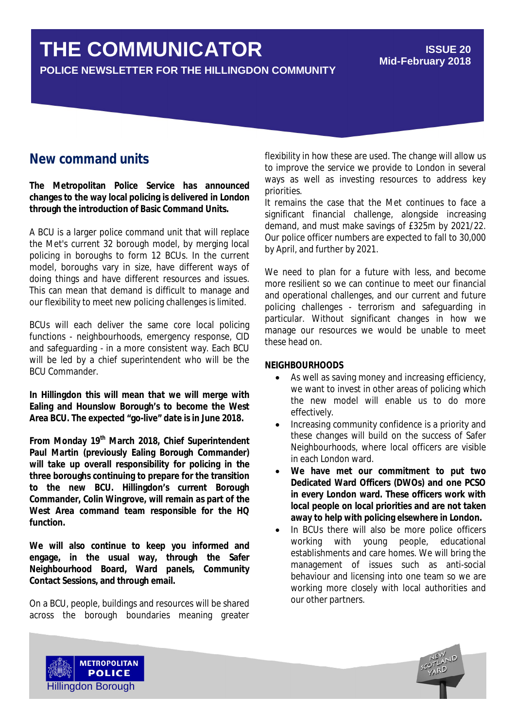# **THE COMMUNICATOR**

**POLICE NEWSLETTER FOR THE HILLINGDON COMMUNITY**

#### **ISSUE 20 Mid-February 2018**

## **New command units**

**The Metropolitan Police Service has announced changes to the way local policing is delivered in London through the introduction of Basic Command Units.**

A BCU is a larger police command unit that will replace the Met's current 32 borough model, by merging local policing in boroughs to form 12 BCUs. In the current model, boroughs vary in size, have different ways of doing things and have different resources and issues. This can mean that demand is difficult to manage and our flexibility to meet new policing challenges is limited.

BCUs will each deliver the same core local policing functions - neighbourhoods, emergency response, CID and safeguarding - in a more consistent way. Each BCU will be led by a chief superintendent who will be the BCU Commander.

**In Hillingdon this will mean that we will merge with Ealing and Hounslow Borough's to become the West Area BCU. The expected "go-live" date is in June 2018.**

**From Monday 19th March 2018, Chief Superintendent Paul Martin (previously Ealing Borough Commander) will take up overall responsibility for policing in the three boroughs continuing to prepare for the transition to the new BCU. Hillingdon's current Borough Commander, Colin Wingrove, will remain as part of the West Area command team responsible for the HQ function.**

**We will also continue to keep you informed and engage, in the usual way, through the Safer Neighbourhood Board, Ward panels, Community Contact Sessions, and through email.**

On a BCU, people, buildings and resources will be shared across the borough boundaries meaning greater flexibility in how these are used. The change will allow us to improve the service we provide to London in several ways as well as investing resources to address key priorities.

It remains the case that the Met continues to face a significant financial challenge, alongside increasing demand, and must make savings of £325m by 2021/22. Our police officer numbers are expected to fall to 30,000 by April, and further by 2021.

We need to plan for a future with less, and become more resilient so we can continue to meet our financial and operational challenges, and our current and future policing challenges - terrorism and safeguarding in particular. Without significant changes in how we manage our resources we would be unable to meet these head on.

#### **NEIGHBOURHOODS**

- As well as saving money and increasing efficiency, we want to invest in other areas of policing which the new model will enable us to do more effectively.
- Increasing community confidence is a priority and these changes will build on the success of Safer Neighbourhoods, where local officers are visible in each London ward.
- **We have met our commitment to put two Dedicated Ward Officers (DWOs) and one PCSO in every London ward. These officers work with local people on local priorities and are not taken away to help with policing elsewhere in London.**
- In BCUs there will also be more police officers working with young people, educational establishments and care homes. We will bring the management of issues such as anti-social behaviour and licensing into one team so we are working more closely with local authorities and our other partners.